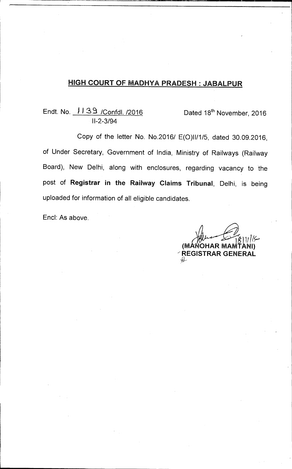## **HIGH COURT OF MADHYA PRADESH : JABALPUR**

## Endt. No. 1139 /Confdl. /2016 Dated 18<sup>th</sup> November, 2016 11-2-3/94

Copy of the letter No. No.2016/ E(0)11/1/5, dated 30.09.2016, of Under Secretary, Government of India, Ministry of Railways (Railway Board), New Delhi, along with enclosures, regarding vacancy to the post of **Registrar in the Railway Claims Tribunal,** Delhi, is being uploaded for information of all eligible candidates.

End: As above.

<u>. 18 | 11/1</u> | C **(MANOHAR MAPATANI) REGISTRAR GENERAL**<br>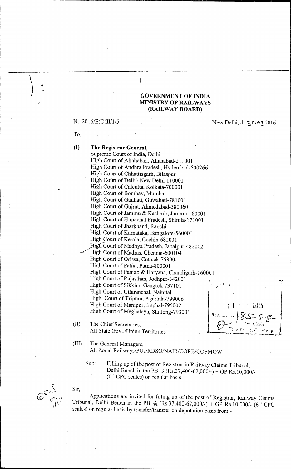#### **GOVERNMENT OF INDIA MINISTRY OF RAILWAYS (RAILWAY BOARD)**

To,

No.2016/E(O)II/1/5 New Delhi, dt. 20.09.2016

**(I) The Registrar General,**  Supreme Court of India, Delhi. High Court of Allahabad, Allahabad-211001 High Court of Andhra Pradesh, Hyderabad-500266 High Court of Chhattisgarh; Bilaspur High Court of Delhi, New Delhi-110001 High Court of Calcutta, Kolkata-700001 High Court of Bombay, Mumbai High Court of Gauhati, Guwahati-781001 High Court of Gujrat, Ahmedabad-380060 High Court of Jammu & Kashmir, Jammu-180001 High Court of Himachal Pradesh, Shimla-171001 High Court of Jharkhand, Ranchi High Court of Karnataka, Bangalore-560001 High Court of Kerala, Cochin-682031 \_ 2gh--Court of Madhya Pradesh, Jabalpur-482002 High Court of Madras, Chennai-600104 High Court of Orissa, Cuttack-753002 High Court of Patna, Patna-800001 High Court of Panjab & Haryana, Chandigarh-160001 High Court of Rajasthan, Jodhpur-342001 High Court of Sikkim, Gangtok-737101 ' High Court of Uttaranchal, Nainital. High Court of Tripura, Agartala-799006 High Court of Manipur, Imphal-795002  $\vert$  1 / 2016 High Court of Meghalaya, Shillong-793001

 $\mathbf{I}$ 

(II) The Chief Secretaries, All State Govt./Union Territories

;<br>>

- (III) The General Managers, All Zonal Railways/PUs/RDSO/NAIR/CORE/COFMOW
	- Sub: Filling up of the post of Registrar in Railway Claims Tribunal, Delhi Bench in the PB -3 (Rs.37,400-67,000/-) + GP Rs.10,000/-  $(6<sup>th</sup>$  CPC scales) on regular basis.

t

 $Sir,$ 

Applications are invited for filling up of the post of Registrar, Railway Claims Tribunal, Delhi Bench in the PB - $A_6$  (Rs.37,400-67,000/-) + GP Rs.10,000/- (6<sup>th</sup> CPC scales) on regular basis by transfer/transfer on deputation basis from -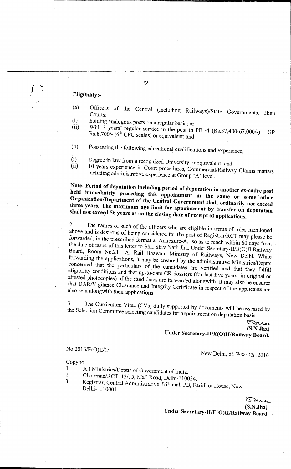#### **Eligibility:-**

- (a) Officers of the Central (including Railways)/State Governments, High Courts:
- (i) holding analogous posts on a regular basis; or  $(ii)$  With 3 years' requience in the use of  $(i)$
- (ii) With 3 years' regular service in the post in PB -4  $(Rs.37,400-67,000/) + GP$  $\text{Rs.8,700/}- (6^{\text{th}} \text{ CPC scales})$  or equivalent; and
- (b) Possessing the following educational qualifications and experience;
- Degree in law from a recognized University or equivalent; and (i)

 $\mathcal{D}_{-}$ 

10 years experience in Court procedures, Commercial/Railway Claims matters including administrative experience at Group 'A' level. (ii)

**Note: Period of deputation including period of deputation in another ex-cadre post held immediately preceding this appointment in the same or some other Organization/Department of the Central Government shall ordinarily not exceed three years. The maximum age limit for appointment by transfer on deputation shall not exceed 56 years as on the closing date of receipt of applications.** 

2. The names of such of the officers who are eligible in terms of rules mentioned above and is desirous of being considered for the post of Registrar/RCT may please be forwarded, in the prescribed format at Annexure- $\overrightarrow{A}$ , so as to reach within 60 days from the date of issue of this letter to Shri Shiv Nath Jha, Under Secretary-II/E(0)II Railway Board, Room No.211 A, Rail Bhawan, Ministry of Railways, New Delhi. While forwarding the applications, it may be ensured by the administrative Ministries/Deptts concerned that the particulars of the candidates are verified and that they fulfill eligibility conditions and that up-to-date CR dossiers (for last five years, in original or attested photocopies) of the candidates are forwarded alongwith. It may also be ensured that DAR/Vigilance Clearance and Integrity Certificate in respect of the applicants are also sent alongwith their applications

3. The Curriculum Vitae (CVs) dully supported by documents will be assessed by the Selection Committee selecting candidates for appointment on deputation basis.

> ℠ **(S.N.Jha) Under Secretary-II/E(0)II/Rai1way Board.**

### No.2016/E(0)II/1/

New Delhi, dt. 30.09.2016

Copy to:

- 1. All Ministries/Deptts of Government of India.<br>2. Chairman/RCT 13/15 Mell Bead Delli 13/2
- 2. Chairman/RCT, 13/15, Mall Road, Delhi-110054.<br>3. Registrar Central Administrative Tribe 1, PD, D
- 3. Registrar, Central Administrative Tribunal, PB, Faridkot House, New Delhi- 110001.

 $\mathcal{S}_{\mathcal{U}}$ **(S.N.Jh a)** 

**Under Secretary-II/E(0)ll/Railway Board**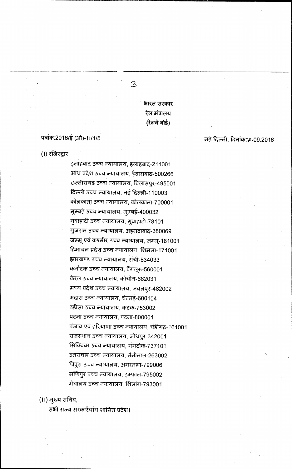भारत सरकार रेल मंत्रालय (रेलवे बोर्ड)

 $\overline{3}$ 

#### पत्रांक:2016/ई (ओ)-11/1/5

नई दिल्ली, दिनांक30.09.2016

#### (1) रजिस्ट्रार,

इलाहबाद उच्च न्यायालय, इलाहबाद-211001 आंध्र प्रदेश उच्च न्यायालय, हैदाराबाद-500266 छल्तीसगढ़ उच्च न्यायालय, बिलासपुर-495001 दिल्ली उच्च न्यायालय, नई दिल्ली-110003 कोलकाता उच्च न्यायालय, कोलकाता-700001 मुम्बई उच्च न्यायालय, मुम्बई-400032 गुवाहाटी उच्च न्यायालय, गुवाहाटी-78101 गुजरात उच्च न्यायालय, अहमदाबाद-380069 जम्मू एवं कश्मीर उच्च न्यायालय, जम्मू-181001 हिमाचल प्रदेश उच्च न्यायालय, शिमला-171001 झारखण्ड उच्च न्यायालय, रांची-834033 कर्नाटक उच्च न्यायालय, बैंगलूरू-560001 केरल उच्च न्यायालय, कोचीन-682031 मध्य प्रदेश उच्च न्यायालय, जबलपुर-482002 मद्रास उच्च न्यायालय, चेन्नई-600104 5ड़ीसा उच्च न्यायालय, कटक-753002 पटना उच्च न्यायालय, पटना-800001 पंजाब एवं हरियाणा उच्च न्यायालय, चंडीगढ़-161001 राजस्थान उच्च न्यायालय, जोधपूर-342001 सिक्किम उच्च न्यायालय, गंगटोक-737101 उतरांचल उच्च न्यायालय, नैनीताल-263002 त्रिपुरा उच्च न्यायालय, अगरतला-799006 मणिपुर उच्च न्यायालय, इम्फाल-795002, मेघालय उच्च न्यायालय, शिलांग-793001

#### (।।) मुख्य सचिव,

सभी राज्य सरकारें/संघ शासित प्रदेश।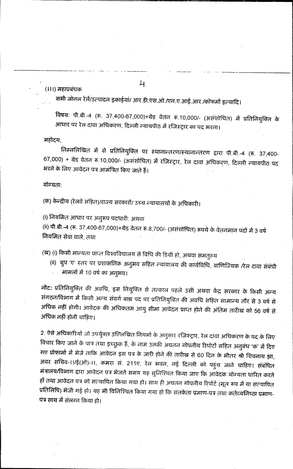#### (।।।) महाप्रबंधक

सभी जोनल रेलें/उत्पादन इकाईयां/ आर.डी.एस.ओ./एन.ए.आई.आर./कॉफर्मो इत्यादि।

 $\lambda$ 

विषय: पी.बी.-4 (रू. 37,400-67,000)+ग्रेड वेतन रू.10,000/- (असंशोधित) में प्रतिनियुक्ति के आधार पर रेल दावा अधिकरण, दिल्ली न्यायपीठ में रजिस्ट्रार का पद भरना।

महोदय,

निम्नलिखित में से प्रतिनियुक्ति पर स्थानान्तरण/स्थानान्तरण द्वारा पी.बी.-4 (रू. 37,400-67,000) + ग्रेड वेतन रू.10,000/- (असंशोधित) में रजिस्ट्रार, रेल दावा अधिकरण, दिल्ली न्यायपीठ पद भरने के लिए आवेदन पत्र आमंत्रित किए जाते हैं।

योग्यताः

(क) केन्द्रीय (रेलवे सहित)/राज्य सरकारों/ उच्च न्यायालयों के अधिकारी।

(i) नियमित आधार पर अनुरूप पदधारी: अथवा

(ii) पी.बी.-4 (रू. 37,400-67,000)+ग्रेड वेतन रू.8,700/- (असंशोधित) रूपये के वेतनमान पदों में 3 वर्ष नियमित सेवा वाले, तथा

(ख) (i) किसी मान्यता प्राप्त विश्वविद्यालय से विधि की डिग्री हो, अथवा समतुल्य

(ii) ग्रुप 'ए' स्तर पर प्रशासनिक अनुभव सहित न्यायालय की कार्यविधि, वाणिज्यिक /रेल दावा संबंधी मामलों में 10 वर्ष का अनुभव।

नोट: प्रतिनियुक्ति की अवधि, इस नियुक्ति से तत्काल पहले उसी अथवा केंद्र सरकार के किसी अन्य संगठन/विभाग में किसी अन्य संवर्ग बाह्य पद पर प्रतिनियुक्ति की अवधि सहित सामान्य तौर से 3 वर्ष से अधिक नहीं होगी। आवेदक की अधिकतम आयु सीमा आवेदन प्राप्त होने की अंतिम तारीख को 56 वर्ष से अधिक नहीं होनी चाहिए।

2. ऐसे अधिकारियों जो उपर्युक्त उल्लिखित नियमों के अनुसार रजिस्ट्रार, रेल दावा अधिकरण के पद के लिए विचार किए जाने के पात्र तथा इच्छुक हैं, के नाम उनकी अंयतन गोपनीय रिपोर्टो सहित अनुबंध 'क' में दिए गए प्रोफार्मा में भेजे ताकि आवेदन इस पत्र के जारी होने की तारीख से 60 दिन के भीतर श्री शिवनाथ झा, अवर सचिव-।।/ई(ओ)-।।, कमरा सं. 211ए, रेल भवन, नई दिल्ली को पहुंच जाने चाहिए। संबंधित मंत्रालय/विभाग द्वारा आवेदन पत्र भेजते समय यह सुनिश्चित किया जाए कि आवेदक योग्यता धारित करते हों तथा आवेदन पत्र को सत्यापित किया गया हो। साथ ही अ़यतन गोपनीय रिपोर्ट (मूल रूप में या सत्यापित प्रतिलिपि) भेजी गई हो। यह भी विनिश्चित किया गया हो कि सतर्कता प्रमाण-पत्र तथा कर्तव्यनिष्ठा प्रमाण-पत्र साथ में संलग्न किया हो।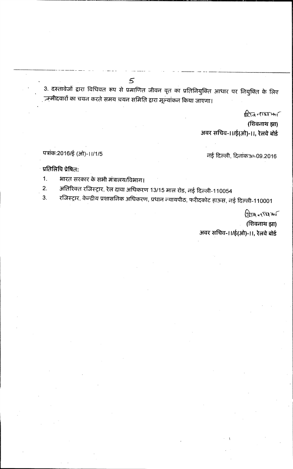3. दस्तावेजों द्वारा विधिवत रूप से प्रमाणित जीवन वृत का प्रतिनियुक्ति आधार पर नियुक्ति के लिए ंग्न्मीदवारों का चयन करते समय चयन समिति द्वारा मूल्यांकन किया जाएगा।

शिवनाश्मा

(शिवनाथ झा) अवर सचिव-।।/ई(ओ)-।।, रेलवे बोर्ड

## पत्रांक:2016/ई (ओ)-11/1/5

नई दिल्ली, दिनांक 30.09.2016

## प्रतिलिपि प्रेषित:

भारत सरकार के सभी मंत्रालय/विभाग।  $1.$ 

अतिरिक्त रजिस्ट्रार, रेल दावा अधिकरण 13/15 माल रोड, नई दिल्ली-110054  $2.$ 

 $5\overline{}$ 

रजिस्ट्रार, केन्द्रीय प्रशासनिक अधिकरण, प्रधान न्यायपीठ, फरीदकोट हाऊस, नई दिल्ली-110001  $3<sub>1</sub>$ 

> ब्रिखि नाशि आ (शिवनाथ झा) अवर सचिव-।।/ई(ओ)-।।, रेलवे बोर्ड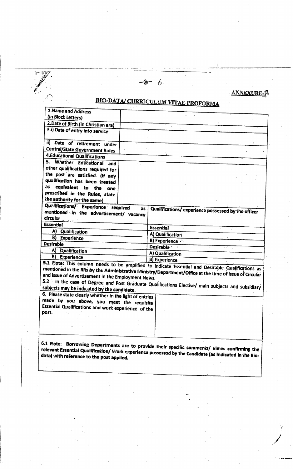$-8 - 6$ 

ANNEXURE-A

# **BIO-DATA/ CURRICULUM VITAE PROFORMA**

| 1. Name and Address                                                                                                                                                                                                                                           |    |                                                    |  |
|---------------------------------------------------------------------------------------------------------------------------------------------------------------------------------------------------------------------------------------------------------------|----|----------------------------------------------------|--|
| (in Block Letters)                                                                                                                                                                                                                                            |    |                                                    |  |
| 2. Date of Birth (in Christian era)                                                                                                                                                                                                                           |    |                                                    |  |
| 3.i) Date of entry into service                                                                                                                                                                                                                               |    |                                                    |  |
|                                                                                                                                                                                                                                                               |    |                                                    |  |
| ii) Date of retirement under                                                                                                                                                                                                                                  |    |                                                    |  |
| <b>Central/State Government Rules</b>                                                                                                                                                                                                                         |    |                                                    |  |
| 4. Educational Qualifications                                                                                                                                                                                                                                 |    |                                                    |  |
| 5.<br>Whether Edücational and                                                                                                                                                                                                                                 |    |                                                    |  |
| other qualifications required for                                                                                                                                                                                                                             |    |                                                    |  |
| the post are satisfied. (If any                                                                                                                                                                                                                               |    |                                                    |  |
| qualification has been treated                                                                                                                                                                                                                                |    |                                                    |  |
| equivalent to the<br>as<br>one                                                                                                                                                                                                                                |    |                                                    |  |
| prescribed in the Rules, state                                                                                                                                                                                                                                |    |                                                    |  |
| the authority for the same)                                                                                                                                                                                                                                   |    |                                                    |  |
| Qualifications/ Experience required                                                                                                                                                                                                                           | as | Qualifications/experience possessed by the officer |  |
| mentioned in the advertisement/ vacancy                                                                                                                                                                                                                       |    |                                                    |  |
| <b>circular</b>                                                                                                                                                                                                                                               |    |                                                    |  |
| <b>Essential</b>                                                                                                                                                                                                                                              |    | Essential                                          |  |
| A) Qualification                                                                                                                                                                                                                                              |    | A) Qualification                                   |  |
| <b>B)</b> Experience                                                                                                                                                                                                                                          |    | <b>B)</b> Experience                               |  |
| <b>Desirable</b>                                                                                                                                                                                                                                              |    | <b>Desirable</b>                                   |  |
| A) Qualification                                                                                                                                                                                                                                              |    | A) Qualification                                   |  |
| B)<br><b>Experience</b>                                                                                                                                                                                                                                       |    | B) Experience                                      |  |
| 5.1 Note: This column needs to be amplified to indicate Essential and Desirable Qualifications as                                                                                                                                                             |    |                                                    |  |
| mentioned in the RRs by the Administrative Ministry/Department/Office at the time of issue of Circular                                                                                                                                                        |    |                                                    |  |
| and issue of Advertisement in the Employment News.                                                                                                                                                                                                            |    |                                                    |  |
| 5.2 In the case of Degree and Post Graduate Qualifications Elective/ main subjects and subsidiary                                                                                                                                                             |    |                                                    |  |
| subjects may be indicated by the candidate.                                                                                                                                                                                                                   |    |                                                    |  |
| 6. Please state clearly whether in the light of entries                                                                                                                                                                                                       |    |                                                    |  |
| made by you above, you meet the requisite                                                                                                                                                                                                                     |    |                                                    |  |
| Essential Qualifications and work experience of the<br>post.                                                                                                                                                                                                  |    |                                                    |  |
|                                                                                                                                                                                                                                                               |    |                                                    |  |
|                                                                                                                                                                                                                                                               |    |                                                    |  |
|                                                                                                                                                                                                                                                               |    |                                                    |  |
|                                                                                                                                                                                                                                                               |    |                                                    |  |
| <b>6.1 Note:</b><br>Borrowing Departments are to provide their specific comments/ views confirming the<br>relevant Essential Qualification/ Work experience possessed by the Candidate (as indicated in the Bio-<br>data) with reference to the post applied. |    |                                                    |  |
|                                                                                                                                                                                                                                                               |    |                                                    |  |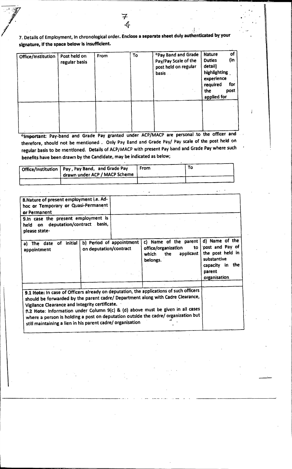## **7. Details of Employment, in chronological order. Enclose a separate sheet duly authenticated by your signature, if the space below is insufficient.**

| Office/Institution | Post held on<br>regular basis | From | To | *Pay Band and Grade<br>Pay/Pay Scale of the<br>post held on regular<br><b>basis</b> | of<br><b>Nature</b><br>(in<br><b>Duties</b><br>detail)<br>highlighting<br>experience<br>for<br>required<br>the<br>post<br>applied for |
|--------------------|-------------------------------|------|----|-------------------------------------------------------------------------------------|---------------------------------------------------------------------------------------------------------------------------------------|
|                    |                               |      |    |                                                                                     |                                                                                                                                       |

<sup>o</sup>Important: Pay-band and Grade Pay granted under ACP/MACP are personal to the officer and **therefore, should not be mentioned . Only Pay Band and Grade Pay/ Pay scale of the post held on regular basis to be mentioned. Details of ACP/MACP with present Pay band and Grade Pay where such benefits have been drawn by the Candidate, may be indicated as below;** 

| Office/Institution   Pay, Pay Band, and Grade Pay | From | Τ٥ |
|---------------------------------------------------|------|----|
| drawn under ACP / MACP Scheme                     |      |    |
|                                                   |      |    |

| 8. Nature of present employment i.e. Ad-<br>hoc or Temporary or Quasi-Permanent<br>or Permanent<br>9.In case the present employment is<br>on deputation/contract basis,<br>held<br>please state-                                                                                                                                                                                                                                                                  |                        |                          |                                                                          |                 |                                                                                                                      |
|-------------------------------------------------------------------------------------------------------------------------------------------------------------------------------------------------------------------------------------------------------------------------------------------------------------------------------------------------------------------------------------------------------------------------------------------------------------------|------------------------|--------------------------|--------------------------------------------------------------------------|-----------------|----------------------------------------------------------------------------------------------------------------------|
| The date of initial<br>a)<br>appointment                                                                                                                                                                                                                                                                                                                                                                                                                          | on deputation/contract | b) Period of appointment | c) Name of the parent<br>office/organization<br>the<br>which<br>belongs. | to<br>applicant | d) Name of the<br>post and Pay of<br>the post held in<br>substantive<br>in the<br>capacity<br>parent<br>organisation |
| 9.1 Note: In case of Officers already on deputation, the applications of such officers<br>should be forwarded by the parent cadre/ Department along with Cadre Clearance,<br>Vigilance Clearance and Integrity certificate.<br>9.2 Note: Information under Column 9(c) & (d) above must be given in all cases<br>where a person is holding a post on deputation outside the cadre/ organization but<br>still maintaining a lien in his parent cadre/ organisation |                        |                          |                                                                          |                 |                                                                                                                      |

Ĵ,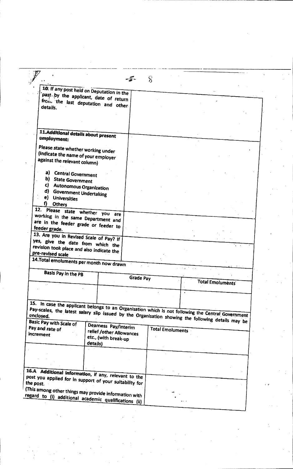|                                                                                                                                                                                                                                                                                                                                                                                                           |                          | $-\sqrt{x}$ | S                       |                                                                                                    |  |
|-----------------------------------------------------------------------------------------------------------------------------------------------------------------------------------------------------------------------------------------------------------------------------------------------------------------------------------------------------------------------------------------------------------|--------------------------|-------------|-------------------------|----------------------------------------------------------------------------------------------------|--|
|                                                                                                                                                                                                                                                                                                                                                                                                           |                          |             |                         |                                                                                                    |  |
| 10. If any post held on Deputation in the                                                                                                                                                                                                                                                                                                                                                                 |                          |             |                         |                                                                                                    |  |
| past by the applicant, date of return                                                                                                                                                                                                                                                                                                                                                                     |                          |             |                         |                                                                                                    |  |
|                                                                                                                                                                                                                                                                                                                                                                                                           |                          |             |                         |                                                                                                    |  |
| from the last deputation and other<br>details.                                                                                                                                                                                                                                                                                                                                                            |                          |             |                         |                                                                                                    |  |
|                                                                                                                                                                                                                                                                                                                                                                                                           |                          |             |                         |                                                                                                    |  |
|                                                                                                                                                                                                                                                                                                                                                                                                           |                          |             |                         |                                                                                                    |  |
|                                                                                                                                                                                                                                                                                                                                                                                                           |                          |             |                         |                                                                                                    |  |
|                                                                                                                                                                                                                                                                                                                                                                                                           |                          |             |                         |                                                                                                    |  |
| 11.Additional details about present                                                                                                                                                                                                                                                                                                                                                                       |                          |             |                         |                                                                                                    |  |
| employment:                                                                                                                                                                                                                                                                                                                                                                                               |                          |             |                         |                                                                                                    |  |
|                                                                                                                                                                                                                                                                                                                                                                                                           |                          |             |                         |                                                                                                    |  |
| Please state whether working under                                                                                                                                                                                                                                                                                                                                                                        |                          |             |                         |                                                                                                    |  |
| (indicate the name of your employer                                                                                                                                                                                                                                                                                                                                                                       |                          |             |                         |                                                                                                    |  |
| against the relevant column)                                                                                                                                                                                                                                                                                                                                                                              |                          |             |                         |                                                                                                    |  |
|                                                                                                                                                                                                                                                                                                                                                                                                           |                          |             |                         |                                                                                                    |  |
| a)<br><b>Central Government</b>                                                                                                                                                                                                                                                                                                                                                                           |                          |             |                         |                                                                                                    |  |
| b) State Government                                                                                                                                                                                                                                                                                                                                                                                       |                          |             |                         |                                                                                                    |  |
| c) Autonomous Organization                                                                                                                                                                                                                                                                                                                                                                                |                          |             |                         |                                                                                                    |  |
| d) Government Undertaking                                                                                                                                                                                                                                                                                                                                                                                 |                          |             |                         |                                                                                                    |  |
| e) Universities                                                                                                                                                                                                                                                                                                                                                                                           |                          |             |                         |                                                                                                    |  |
| f).<br><b>Others</b>                                                                                                                                                                                                                                                                                                                                                                                      |                          |             |                         |                                                                                                    |  |
| 12. Please state whether you are                                                                                                                                                                                                                                                                                                                                                                          |                          |             |                         |                                                                                                    |  |
| working in the same Department and                                                                                                                                                                                                                                                                                                                                                                        |                          |             |                         |                                                                                                    |  |
|                                                                                                                                                                                                                                                                                                                                                                                                           |                          |             |                         |                                                                                                    |  |
| are in the feeder grade or feeder to<br>feeder grade.                                                                                                                                                                                                                                                                                                                                                     |                          |             |                         |                                                                                                    |  |
|                                                                                                                                                                                                                                                                                                                                                                                                           |                          |             |                         |                                                                                                    |  |
| 13. Are you in Revised Scale of Pay? If                                                                                                                                                                                                                                                                                                                                                                   |                          |             |                         |                                                                                                    |  |
| yes, give the date from which the                                                                                                                                                                                                                                                                                                                                                                         |                          |             |                         |                                                                                                    |  |
| revision took place and also indicate the<br>pre-revised scale                                                                                                                                                                                                                                                                                                                                            |                          |             |                         |                                                                                                    |  |
|                                                                                                                                                                                                                                                                                                                                                                                                           |                          |             |                         |                                                                                                    |  |
| 14. Total emoluments per month now drawn                                                                                                                                                                                                                                                                                                                                                                  |                          |             |                         |                                                                                                    |  |
|                                                                                                                                                                                                                                                                                                                                                                                                           |                          |             |                         |                                                                                                    |  |
| Basis Pay in the PB                                                                                                                                                                                                                                                                                                                                                                                       |                          | Grade Pay   |                         |                                                                                                    |  |
|                                                                                                                                                                                                                                                                                                                                                                                                           |                          |             |                         | <b>Total Emoluments</b>                                                                            |  |
|                                                                                                                                                                                                                                                                                                                                                                                                           |                          |             |                         |                                                                                                    |  |
|                                                                                                                                                                                                                                                                                                                                                                                                           |                          |             |                         |                                                                                                    |  |
|                                                                                                                                                                                                                                                                                                                                                                                                           |                          |             |                         |                                                                                                    |  |
|                                                                                                                                                                                                                                                                                                                                                                                                           |                          |             |                         |                                                                                                    |  |
|                                                                                                                                                                                                                                                                                                                                                                                                           |                          |             |                         |                                                                                                    |  |
|                                                                                                                                                                                                                                                                                                                                                                                                           |                          |             |                         |                                                                                                    |  |
|                                                                                                                                                                                                                                                                                                                                                                                                           |                          |             |                         | 15. In case the applicant belongs to an Organisation which is not following the Central Government |  |
|                                                                                                                                                                                                                                                                                                                                                                                                           |                          |             |                         |                                                                                                    |  |
|                                                                                                                                                                                                                                                                                                                                                                                                           | Dearness Pay/interim     |             |                         |                                                                                                    |  |
|                                                                                                                                                                                                                                                                                                                                                                                                           | relief /other Allowances |             | <b>Total Emoluments</b> |                                                                                                    |  |
|                                                                                                                                                                                                                                                                                                                                                                                                           | etc., (with break-up     |             |                         |                                                                                                    |  |
|                                                                                                                                                                                                                                                                                                                                                                                                           | detajls)                 |             |                         |                                                                                                    |  |
|                                                                                                                                                                                                                                                                                                                                                                                                           |                          |             |                         |                                                                                                    |  |
|                                                                                                                                                                                                                                                                                                                                                                                                           |                          |             |                         |                                                                                                    |  |
|                                                                                                                                                                                                                                                                                                                                                                                                           |                          |             |                         |                                                                                                    |  |
|                                                                                                                                                                                                                                                                                                                                                                                                           |                          |             |                         |                                                                                                    |  |
|                                                                                                                                                                                                                                                                                                                                                                                                           |                          |             |                         |                                                                                                    |  |
|                                                                                                                                                                                                                                                                                                                                                                                                           |                          |             |                         |                                                                                                    |  |
|                                                                                                                                                                                                                                                                                                                                                                                                           |                          |             |                         |                                                                                                    |  |
|                                                                                                                                                                                                                                                                                                                                                                                                           |                          |             |                         |                                                                                                    |  |
| Pay-scales, the latest salary slip issued by the Organisation showing the following details may be<br><b>Basic Pay with Scale of</b><br>Pay and rate of<br>increment<br>16.A Additional information, if any, relevant to the<br>post you applied for in support of your suitability for<br>(This among other things may provide information with<br>regard to (i) additional academic qualifications (ii) |                          |             |                         |                                                                                                    |  |

 $\label{eq:2} \frac{1}{2} \sum_{i=1}^n \frac{1}{2} \sum_{j=1}^n \frac{1}{2} \sum_{j=1}^n \frac{1}{2} \sum_{j=1}^n \frac{1}{2} \sum_{j=1}^n \frac{1}{2} \sum_{j=1}^n \frac{1}{2} \sum_{j=1}^n \frac{1}{2} \sum_{j=1}^n \frac{1}{2} \sum_{j=1}^n \frac{1}{2} \sum_{j=1}^n \frac{1}{2} \sum_{j=1}^n \frac{1}{2} \sum_{j=1}^n \frac{1}{2} \sum_{j=1}^n \frac{1}{$ 

 $\frac{1}{2}$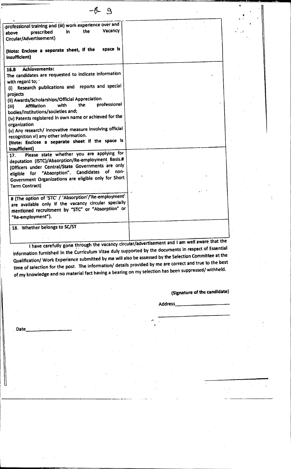| $-6 - 9$                                                                                                                                                                                                                                                                                                                                                                                                                                                                                                                                                                                |  |
|-----------------------------------------------------------------------------------------------------------------------------------------------------------------------------------------------------------------------------------------------------------------------------------------------------------------------------------------------------------------------------------------------------------------------------------------------------------------------------------------------------------------------------------------------------------------------------------------|--|
| professional training and (iii) work experience over and<br>Vacancy<br>the<br>in<br>prescribed<br>above<br>Circular/Advertisement)                                                                                                                                                                                                                                                                                                                                                                                                                                                      |  |
| space is<br>(Note: Enclose a separate sheet, if the<br>insufficient)                                                                                                                                                                                                                                                                                                                                                                                                                                                                                                                    |  |
| <b>Achievements:</b><br>26.8<br>The candidates are requested to indicate information<br>with regard to;<br>Research publications and reports and special<br>(i)<br>projects<br>(ii) Awards/Scholarships/Official Appreciation<br>professional<br>the<br>∙ with<br><b>Affiliation</b><br>(iii)<br>bodies/institutions/societies and;<br>(iv) Patents registered in own name or achieved for the<br>organization<br>(v) Any research/ innovative measure involving official<br>recognition vi) any other information.<br>(Note: Enclose a separate sheet if the space is<br>insufficient) |  |
| Please state whether you are applying for<br>17.<br>deputation (ISTC)/Absorption/Re-employment Basis.#<br>(Officers under Central/State Governments are only<br>non-<br>eligible for "Absorption". Candidates of<br>Government Organizations are eligible only for Short<br><b>Term Contract)</b>                                                                                                                                                                                                                                                                                       |  |
| # (The option of 'STC' / 'Absorption'/'Re-employment'<br>are available only if the vacancy circular specially<br>mentioned recruitment by "STC" or "Absorption" or<br>"Re-employment").                                                                                                                                                                                                                                                                                                                                                                                                 |  |
| 18. Whether belongs to SC/ST                                                                                                                                                                                                                                                                                                                                                                                                                                                                                                                                                            |  |

**I have carefully gone through the vacancy circular/advertisement and I am well aware that the information furnished in the Curriculum Vitae duly supported by the documents in respect of Essential Qualification/ Work Experience submitted by me will also be assessed by the Selection Committee at the time of selection for the post. The information/ details provided by me are correct and true to the best of my knowledge and no material fact having a bearing on my selection has been suppressed/ withheld.** 

**(Signature of the candidate)** 

**Address** 

**, Date**